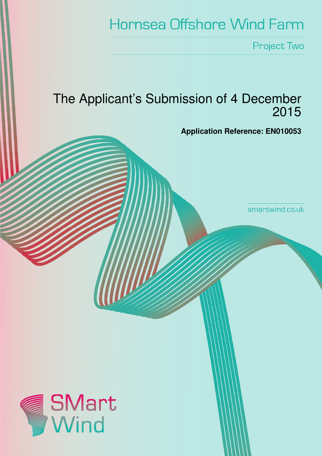# **Hornsea Offshore Wind Farm**

Project Two

## The Applicant's Submission of 4 December 2015



smartwind.co.uk

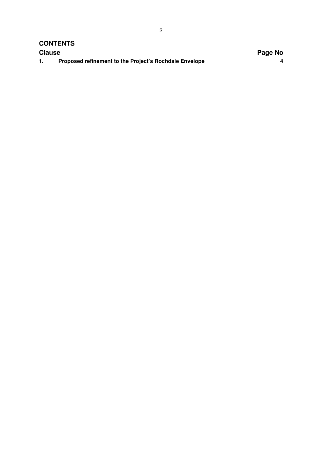#### **CONTENTS**

| <b>Clause</b> |                                                        | Page No |
|---------------|--------------------------------------------------------|---------|
|               | Proposed refinement to the Project's Rochdale Envelope |         |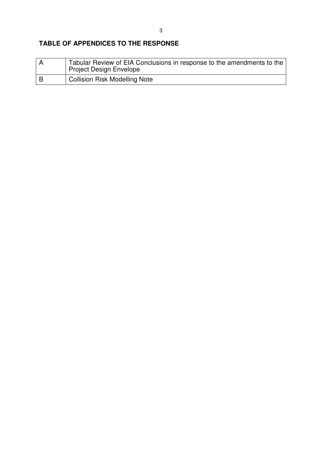### **TABLE OF APPENDICES TO THE RESPONSE**

|     | Tabular Review of EIA Conclusions in response to the amendments to the<br>Project Design Envelope |
|-----|---------------------------------------------------------------------------------------------------|
| l B | <b>Collision Risk Modelling Note</b>                                                              |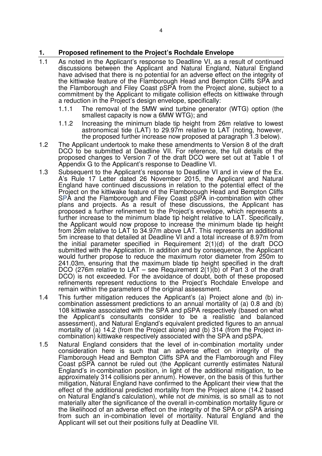#### **1. Proposed refinement to the Project's Rochdale Envelope**

- 1.1 As noted in the Applicant's response to Deadline VI, as a result of continued discussions between the Applicant and Natural England, Natural England have advised that there is no potential for an adverse effect on the integrity of the kittiwake feature of the Flamborough Head and Bempton Cliffs SPA and the Flamborough and Filey Coast pSPA from the Project alone, subject to a commitment by the Applicant to mitigate collision effects on kittiwake through a reduction in the Project's design envelope, specifically:
	- 1.1.1 The removal of the 5MW wind turbine generator (WTG) option (the smallest capacity is now a 6MW WTG); and
	- 1.1.2 Increasing the minimum blade tip height from 26m relative to lowest astronomical tide (LAT) to 29.97m relative to LAT (noting, however, the proposed further increase now proposed at paragraph 1.3 below).
- 1.2 The Applicant undertook to make these amendments to Version 8 of the draft DCO to be submitted at Deadline VII. For reference, the full details of the proposed changes to Version 7 of the draft DCO were set out at Table 1 of Appendix G to the Applicant's response to Deadline VI.
- 1.3 Subsequent to the Applicant's response to Deadline VI and in view of the Ex. A's Rule 17 Letter dated 26 November 2015, the Applicant and Natural England have continued discussions in relation to the potential effect of the Project on the kittiwake feature of the Flamborough Head and Bempton Cliffs SPA and the Flamborough and Filey Coast pSPA in-combination with other plans and projects. As a result of these discussions, the Applicant has proposed a further refinement to the Project's envelope, which represents a further increase to the minimum blade tip height relative to LAT. Specifically, the Applicant would now propose to increase the minimum blade tip height from 26m relative to LAT to 34.97m above LAT. This represents an additional 5m increase to that detailed at Deadline VI and a total increase of 8.97m from the initial parameter specified in Requirement 2(1)(d) of the draft DCO submitted with the Application. In addition and by consequence, the Applicant would further propose to reduce the maximum rotor diameter from 250m to 241.03m, ensuring that the maximum blade tip height specified in the draft DCO (276m relative to LAT – see Requirement  $2(1)(b)$  of Part 3 of the draft DCO) is not exceeded. For the avoidance of doubt, both of these proposed refinements represent reductions to the Project's Rochdale Envelope and remain within the parameters of the original assessment.
- 1.4 This further mitigation reduces the Applicant's (a) Project alone and (b) incombination assessment predictions to an annual mortality of (a) 0.8 and (b) 108 kittiwake associated with the SPA and pSPA respectively (based on what the Applicant's consultants consider to be a realistic and balanced assessment), and Natural England's equivalent predicted figures to an annual mortality of (a) 14.2 (from the Project alone) and (b) 314 (from the Project incombination) kittiwake respectively associated with the SPA and pSPA.
- 1.5 Natural England considers that the level of in-combination mortality under consideration here is such that an adverse effect on integrity of the Flamborough Head and Bempton Cliffs SPA and the Flamborough and Filey Coast pSPA cannot be ruled out (the Applicant currently estimates Natural England's in-combination position, in light of the additional mitigation, to be approximately 314 collisions per annum). However, on the basis of this further mitigation, Natural England have confirmed to the Applicant their view that the effect of the additional predicted mortality from the Project alone (14.2 based on Natural England's calculation), while not de minimis, is so small as to not materially alter the significance of the overall in-combination mortality figure or the likelihood of an adverse effect on the integrity of the SPA or pSPA arising from such an in-combination level of mortality. Natural England and the Applicant will set out their positions fully at Deadline VII.